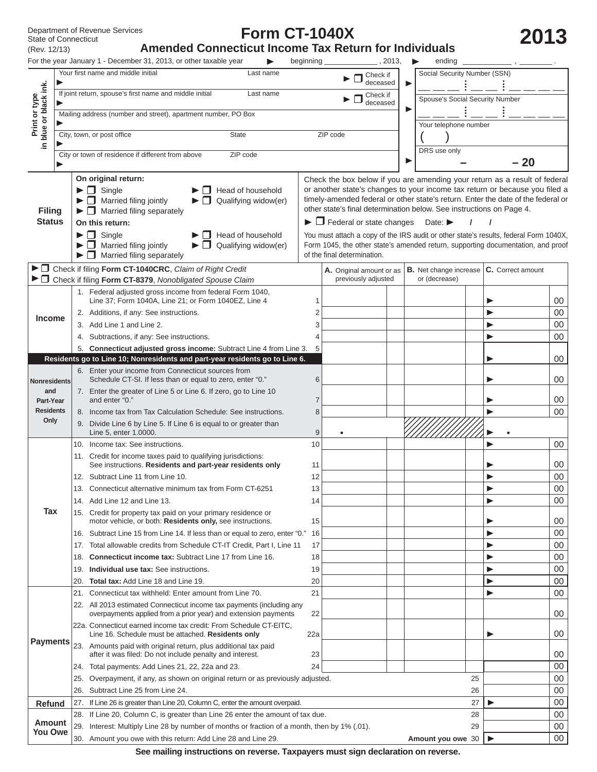(Rev. 12/13)

# **Form CT-1040X**

Department of Revenue Services<br>
State of Connecticut **Amended Connecticut Income Tax Return for Individuals**<br>
(Rev. 12/13) **Amended Connecticut Income Tax Return for Individuals** 

|                                |     | For the year January 1 - December 31, 2013, or other taxable year                                                                                                                                                                                                  | beginning              | , 2013,                                                                                                                                                                                                                                                                                                                                                                        |   | ending                          |    |                   |                  |
|--------------------------------|-----|--------------------------------------------------------------------------------------------------------------------------------------------------------------------------------------------------------------------------------------------------------------------|------------------------|--------------------------------------------------------------------------------------------------------------------------------------------------------------------------------------------------------------------------------------------------------------------------------------------------------------------------------------------------------------------------------|---|---------------------------------|----|-------------------|------------------|
|                                |     | Your first name and middle initial<br>Last name                                                                                                                                                                                                                    |                        | Check if<br>deceased                                                                                                                                                                                                                                                                                                                                                           | ▶ | Social Security Number (SSN)    |    |                   |                  |
| blue or black ink.             |     | If joint return, spouse's first name and middle initial<br>Last name                                                                                                                                                                                               |                        | Check if<br>deceased                                                                                                                                                                                                                                                                                                                                                           |   | Spouse's Social Security Number |    |                   |                  |
| Print or type                  |     | Mailing address (number and street), apartment number, PO Box                                                                                                                                                                                                      |                        |                                                                                                                                                                                                                                                                                                                                                                                |   |                                 |    |                   |                  |
|                                |     |                                                                                                                                                                                                                                                                    |                        |                                                                                                                                                                                                                                                                                                                                                                                |   | Your telephone number           |    |                   |                  |
|                                |     | City, town, or post office<br><b>State</b>                                                                                                                                                                                                                         |                        | ZIP code                                                                                                                                                                                                                                                                                                                                                                       |   |                                 |    |                   |                  |
| ≘.                             |     | City or town of residence if different from above<br>ZIP code                                                                                                                                                                                                      |                        |                                                                                                                                                                                                                                                                                                                                                                                |   | DRS use only                    |    |                   |                  |
|                                |     |                                                                                                                                                                                                                                                                    |                        |                                                                                                                                                                                                                                                                                                                                                                                | ▶ |                                 |    | $-20$             |                  |
| <b>Filing</b><br><b>Status</b> |     | On original return:<br>$\blacktriangleright \Box$ Single<br>Head of household<br>$\blacktriangleright$ $\Box$ Married filing jointly<br>$\blacktriangleright \Box$ Qualifying widow(er)<br>$\blacktriangleright \Box$ Married filing separately<br>On this return: |                        | Check the box below if you are amending your return as a result of federal<br>or another state's changes to your income tax return or because you filed a<br>timely-amended federal or other state's return. Enter the date of the federal or<br>other state's final determination below. See instructions on Page 4.<br>$\blacktriangleright$ $\Box$ Federal or state changes |   | Date: $\blacktriangleright$     |    |                   |                  |
|                                |     | $\blacktriangleright \Box$ Single<br>$\Box$ Head of household<br>$\blacktriangleright$ $\Box$ Married filing jointly<br>$\blacktriangleright$ $\Box$ Qualifying widow(er)                                                                                          |                        | You must attach a copy of the IRS audit or other state's results, federal Form 1040X,<br>Form 1045, the other state's amended return, supporting documentation, and proof                                                                                                                                                                                                      |   |                                 |    |                   |                  |
|                                |     | $\blacktriangleright$ $\Box$ Married filing separately                                                                                                                                                                                                             |                        | of the final determination.                                                                                                                                                                                                                                                                                                                                                    |   |                                 |    |                   |                  |
|                                |     | ► □ Check if filing Form CT-1040CRC, Claim of Right Credit                                                                                                                                                                                                         |                        | A. Original amount or as                                                                                                                                                                                                                                                                                                                                                       |   | B. Net change increase          |    | C. Correct amount |                  |
|                                |     | ▶ □ Check if filing Form CT-8379, Nonobligated Spouse Claim                                                                                                                                                                                                        |                        | previously adjusted                                                                                                                                                                                                                                                                                                                                                            |   | or (decrease)                   |    |                   |                  |
|                                |     | 1. Federal adjusted gross income from federal Form 1040,<br>Line 37; Form 1040A, Line 21; or Form 1040EZ, Line 4                                                                                                                                                   | 1                      |                                                                                                                                                                                                                                                                                                                                                                                |   |                                 |    |                   | 00               |
| <b>Income</b>                  |     | 2. Additions, if any: See instructions.<br>3. Add Line 1 and Line 2.                                                                                                                                                                                               | 2<br>3                 |                                                                                                                                                                                                                                                                                                                                                                                |   |                                 |    |                   | $00\,$<br>$00\,$ |
|                                |     | 4. Subtractions, if any: See instructions.                                                                                                                                                                                                                         | 4                      |                                                                                                                                                                                                                                                                                                                                                                                |   |                                 |    |                   | 00               |
|                                |     | 5. Connecticut adjusted gross income: Subtract Line 4 from Line 3.                                                                                                                                                                                                 | 5                      |                                                                                                                                                                                                                                                                                                                                                                                |   |                                 |    |                   |                  |
|                                |     | Residents go to Line 10; Nonresidents and part-year residents go to Line 6.                                                                                                                                                                                        |                        |                                                                                                                                                                                                                                                                                                                                                                                |   |                                 |    |                   | $00\,$           |
|                                |     | 6. Enter your income from Connecticut sources from                                                                                                                                                                                                                 |                        |                                                                                                                                                                                                                                                                                                                                                                                |   |                                 |    |                   |                  |
| <b>Nonresidents</b>            |     | Schedule CT-SI. If less than or equal to zero, enter "0."                                                                                                                                                                                                          | 6                      |                                                                                                                                                                                                                                                                                                                                                                                |   |                                 |    |                   | $00\,$           |
| and<br>Part-Year               |     | 7. Enter the greater of Line 5 or Line 6. If zero, go to Line 10<br>and enter "0."                                                                                                                                                                                 | 7                      |                                                                                                                                                                                                                                                                                                                                                                                |   |                                 |    |                   | $00\,$           |
| <b>Residents</b>               |     | 8. Income tax from Tax Calculation Schedule: See instructions.                                                                                                                                                                                                     | 8                      |                                                                                                                                                                                                                                                                                                                                                                                |   |                                 |    |                   | 00               |
| Only                           |     | 9. Divide Line 6 by Line 5. If Line 6 is equal to or greater than                                                                                                                                                                                                  |                        |                                                                                                                                                                                                                                                                                                                                                                                |   |                                 |    |                   |                  |
|                                | 10. | Line 5, enter 1.0000.<br>Income tax: See instructions.                                                                                                                                                                                                             | $\boldsymbol{9}$<br>10 |                                                                                                                                                                                                                                                                                                                                                                                |   |                                 |    |                   | $00\,$           |
|                                |     | 11. Credit for income taxes paid to qualifying jurisdictions:                                                                                                                                                                                                      |                        |                                                                                                                                                                                                                                                                                                                                                                                |   |                                 |    |                   |                  |
|                                |     | See instructions. Residents and part-year residents only                                                                                                                                                                                                           | 11                     |                                                                                                                                                                                                                                                                                                                                                                                |   |                                 |    |                   | 00               |
|                                |     | 12. Subtract Line 11 from Line 10.                                                                                                                                                                                                                                 | 12                     |                                                                                                                                                                                                                                                                                                                                                                                |   |                                 |    |                   | $00\,$           |
|                                |     | 13. Connecticut alternative minimum tax from Form CT-6251                                                                                                                                                                                                          | 13                     |                                                                                                                                                                                                                                                                                                                                                                                |   |                                 |    |                   | $00\,$           |
| Tax                            |     | 14. Add Line 12 and Line 13.                                                                                                                                                                                                                                       | 14                     |                                                                                                                                                                                                                                                                                                                                                                                |   |                                 |    |                   | 00               |
|                                |     | 15. Credit for property tax paid on your primary residence or<br>motor vehicle, or both: Residents only, see instructions.                                                                                                                                         | 15                     |                                                                                                                                                                                                                                                                                                                                                                                |   |                                 |    |                   | 00               |
|                                |     | 16. Subtract Line 15 from Line 14. If less than or equal to zero, enter "0."                                                                                                                                                                                       | 16                     |                                                                                                                                                                                                                                                                                                                                                                                |   |                                 |    |                   | $00\,$           |
|                                |     | 17. Total allowable credits from Schedule CT-IT Credit, Part I, Line 11                                                                                                                                                                                            | 17                     |                                                                                                                                                                                                                                                                                                                                                                                |   |                                 |    |                   | $00\,$           |
|                                |     | 18. Connecticut income tax: Subtract Line 17 from Line 16.                                                                                                                                                                                                         | 18                     |                                                                                                                                                                                                                                                                                                                                                                                |   |                                 |    | Þ                 | $00\,$           |
|                                |     | 19. Individual use tax: See instructions.                                                                                                                                                                                                                          | 19                     |                                                                                                                                                                                                                                                                                                                                                                                |   |                                 |    |                   | 00               |
|                                | 20. | Total tax: Add Line 18 and Line 19.                                                                                                                                                                                                                                | 20                     |                                                                                                                                                                                                                                                                                                                                                                                |   |                                 |    | ▶                 | 00               |
|                                | 21. | Connecticut tax withheld: Enter amount from Line 70.<br>22. All 2013 estimated Connecticut income tax payments (including any<br>overpayments applied from a prior year) and extension payments                                                                    | 21<br>22               |                                                                                                                                                                                                                                                                                                                                                                                |   |                                 |    | ▶                 | $00\,$<br>00     |
|                                |     | 22a. Connecticut earned income tax credit: From Schedule CT-EITC,<br>Line 16. Schedule must be attached. Residents only                                                                                                                                            | 22a                    |                                                                                                                                                                                                                                                                                                                                                                                |   |                                 |    |                   | 00               |
| <b>Payments</b>                |     | 23. Amounts paid with original return, plus additional tax paid<br>after it was filed: Do not include penalty and interest.                                                                                                                                        | 23                     |                                                                                                                                                                                                                                                                                                                                                                                |   |                                 |    |                   | 00               |
|                                | 24. | Total payments: Add Lines 21, 22, 22a and 23.                                                                                                                                                                                                                      | 24                     |                                                                                                                                                                                                                                                                                                                                                                                |   |                                 |    |                   | $00\,$           |
|                                | 25. | Overpayment, if any, as shown on original return or as previously adjusted.                                                                                                                                                                                        |                        |                                                                                                                                                                                                                                                                                                                                                                                |   |                                 | 25 |                   | 00               |
|                                | 26. | Subtract Line 25 from Line 24.                                                                                                                                                                                                                                     |                        |                                                                                                                                                                                                                                                                                                                                                                                |   |                                 | 26 |                   | 00               |
| Refund                         |     | 27. If Line 26 is greater than Line 20, Column C, enter the amount overpaid.                                                                                                                                                                                       |                        |                                                                                                                                                                                                                                                                                                                                                                                |   |                                 | 27 |                   | $00\,$           |
| Amount                         |     | 28. If Line 20, Column C, is greater than Line 26 enter the amount of tax due.                                                                                                                                                                                     |                        |                                                                                                                                                                                                                                                                                                                                                                                |   |                                 | 28 |                   | $00\,$           |
| <b>You Owe</b>                 |     | 29. Interest: Multiply Line 28 by number of months or fraction of a month, then by 1% (.01).                                                                                                                                                                       |                        |                                                                                                                                                                                                                                                                                                                                                                                |   |                                 | 29 |                   | 00               |
|                                |     | 30. Amount you owe with this return: Add Line 28 and Line 29.                                                                                                                                                                                                      |                        |                                                                                                                                                                                                                                                                                                                                                                                |   | Amount you owe 30               |    | ▶                 | $00\,$           |

**See mailing instructions on reverse. Taxpayers must sign declaration on reverse.**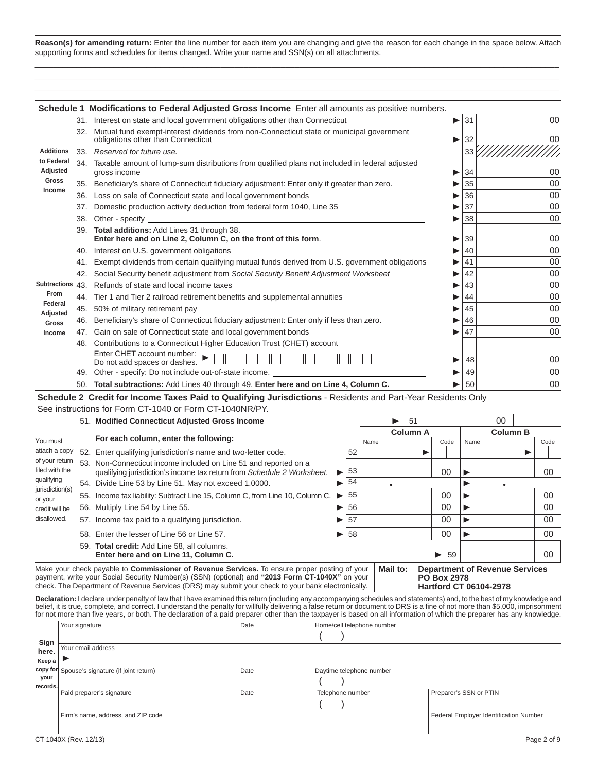**Reason(s) for amending return:** Enter the line number for each item you are changing and give the reason for each change in the space below. Attach supporting forms and schedules for items changed. Write your name and SSN(s) on all attachments.  $\_$  , and the set of the set of the set of the set of the set of the set of the set of the set of the set of the set of the set of the set of the set of the set of the set of the set of the set of the set of the set of th

 $\_$  , and the set of the set of the set of the set of the set of the set of the set of the set of the set of the set of the set of the set of the set of the set of the set of the set of the set of the set of the set of th  $\_$  , and the set of the set of the set of the set of the set of the set of the set of the set of the set of the set of the set of the set of the set of the set of the set of the set of the set of the set of the set of th

|                        |     | <b>Schedule 1 Modifications to Federal Adjusted Gross Income</b> Enter all amounts as positive numbers.                        |   |    |        |
|------------------------|-----|--------------------------------------------------------------------------------------------------------------------------------|---|----|--------|
|                        | 31. | Interest on state and local government obligations other than Connecticut                                                      | ▶ | 31 | $00\,$ |
|                        | 32. | Mutual fund exempt-interest dividends from non-Connecticut state or municipal government<br>obligations other than Connecticut |   | 32 | $00\,$ |
| <b>Additions</b>       |     | 33. Reserved for future use.                                                                                                   |   | 33 |        |
| to Federal<br>Adjusted |     | 34. Taxable amount of lump-sum distributions from qualified plans not included in federal adjusted<br>gross income             | ▶ | 34 | 00     |
| Gross                  | 35. | Beneficiary's share of Connecticut fiduciary adjustment: Enter only if greater than zero.                                      |   | 35 | $00\,$ |
| Income                 | 36. | Loss on sale of Connecticut state and local government bonds                                                                   |   | 36 | $00\,$ |
|                        | 37. | Domestic production activity deduction from federal form 1040, Line 35                                                         |   | 37 | $00\,$ |
|                        | 38. | Other - specify                                                                                                                |   | 38 | 00     |
|                        |     | 39. Total additions: Add Lines 31 through 38.<br>Enter here and on Line 2, Column C, on the front of this form.                |   | 39 | 00     |
|                        | 40. | Interest on U.S. government obligations                                                                                        |   | 40 | $00\,$ |
|                        | 41. | Exempt dividends from certain qualifying mutual funds derived from U.S. government obligations                                 |   | 41 | $00\,$ |
|                        | 42. | Social Security benefit adjustment from Social Security Benefit Adjustment Worksheet                                           |   | 42 | $00\,$ |
| Subtractions           | 43. | Refunds of state and local income taxes                                                                                        |   | 43 | $00\,$ |
| From                   | 44. | Tier 1 and Tier 2 railroad retirement benefits and supplemental annuities                                                      |   | 44 | 00     |
| Federal<br>Adjusted    | 45. | 50% of military retirement pay                                                                                                 |   | 45 | 00     |
| <b>Gross</b>           | 46. | Beneficiary's share of Connecticut fiduciary adjustment: Enter only if less than zero.                                         |   | 46 | $00\,$ |
| Income                 | 47. | Gain on sale of Connecticut state and local government bonds                                                                   |   | 47 | 00     |
|                        | 48. | Contributions to a Connecticut Higher Education Trust (CHET) account                                                           |   |    |        |
|                        |     | Enter CHET account number:<br>Do not add spaces or dashes.                                                                     |   | 48 | 00     |
|                        | 49. | Other - specify: Do not include out-of-state income.                                                                           |   | 49 | $00\,$ |
|                        |     | 50. Total subtractions: Add Lines 40 through 49. Enter here and on Line 4, Column C.                                           |   | 50 | 00     |
|                        |     | Schedule 2 Credit for Income Taxes Paid to Qualifying Jurisdictions - Residents and Part-Year Residents Only                   |   |    |        |

See instructions for Form CT-1040 or Form CT-1040NR/PY.

|     | 51. Modified Connecticut Adjusted Gross Income                         |                                                                                                                                                                                                                                                                                                                                                                                                                        |                                                                                                                                                                             |      | 51              |    |           | 00              |                                                    |
|-----|------------------------------------------------------------------------|------------------------------------------------------------------------------------------------------------------------------------------------------------------------------------------------------------------------------------------------------------------------------------------------------------------------------------------------------------------------------------------------------------------------|-----------------------------------------------------------------------------------------------------------------------------------------------------------------------------|------|-----------------|----|-----------|-----------------|----------------------------------------------------|
|     |                                                                        |                                                                                                                                                                                                                                                                                                                                                                                                                        |                                                                                                                                                                             |      | <b>Column A</b> |    |           | <b>Column B</b> |                                                    |
|     |                                                                        |                                                                                                                                                                                                                                                                                                                                                                                                                        |                                                                                                                                                                             | Name |                 |    | Name      |                 | Code                                               |
|     |                                                                        |                                                                                                                                                                                                                                                                                                                                                                                                                        | 52                                                                                                                                                                          |      |                 |    |           |                 |                                                    |
|     | qualifying jurisdiction's income tax return from Schedule 2 Worksheet. | $\blacktriangleright$                                                                                                                                                                                                                                                                                                                                                                                                  | 53                                                                                                                                                                          |      |                 | 00 |           |                 | 00                                                 |
|     |                                                                        | ▶                                                                                                                                                                                                                                                                                                                                                                                                                      | 54                                                                                                                                                                          |      |                 |    |           |                 |                                                    |
|     |                                                                        |                                                                                                                                                                                                                                                                                                                                                                                                                        | 55                                                                                                                                                                          |      |                 | 00 |           |                 | 00                                                 |
|     |                                                                        | ▶                                                                                                                                                                                                                                                                                                                                                                                                                      | 56                                                                                                                                                                          |      |                 | 00 |           |                 | 00                                                 |
|     |                                                                        | ▶                                                                                                                                                                                                                                                                                                                                                                                                                      |                                                                                                                                                                             |      |                 | 00 |           |                 | 00                                                 |
| 58. |                                                                        | ▶                                                                                                                                                                                                                                                                                                                                                                                                                      | 58                                                                                                                                                                          |      |                 | 00 |           |                 | 00                                                 |
|     | Enter here and on Line 11, Column C.                                   |                                                                                                                                                                                                                                                                                                                                                                                                                        |                                                                                                                                                                             |      |                 | 59 |           |                 | 00                                                 |
|     |                                                                        | For each column, enter the following:<br>52. Enter qualifying jurisdiction's name and two-letter code.<br>53. Non-Connecticut income included on Line 51 and reported on a<br>54. Divide Line 53 by Line 51. May not exceed 1.0000.<br>56. Multiply Line 54 by Line 55.<br>57. Income tax paid to a qualifying jurisdiction.<br>Enter the lesser of Line 56 or Line 57.<br>59. Total credit: Add Line 58, all columns. | 55. Income tax liability: Subtract Line 15, Column C, from Line 10, Column C.<br>Mahamana aka ah samud ka Asmanisatanas af Bandania Asmaia a Tanasanas sesara satus af mans | 57   |                 |    | Code<br>▶ |                 | <b>BAAJI AAJ</b><br>Department of Devenue Condense |

Make your check payable to **Commissioner of Revenue Services.** To ensure proper posting of your | Mail to: payment, write your Social Security Number(s) (SSN) (optional) and **"2013 Form CT-1040X"** on your check. The Department of Revenue Services (DRS) may submit your check to your bank electronically. **Mail to: Department of Revenue Services PO Box 2978 Hartford CT 06104-2978**

**Declaration:** I declare under penalty of law that I have examined this return (including any accompanying schedules and statements) and, to the best of my knowledge and belief, it is true, complete, and correct. I understand the penalty for willfully delivering a false return or document to DRS is a fine of not more than \$5,000, imprisonment for not more than five years, or both. The declaration of a paid preparer other than the taxpayer is based on all information of which the preparer has any knowledge.

|          | Your signature                                | Date | Home/cell telephone number |                                        |
|----------|-----------------------------------------------|------|----------------------------|----------------------------------------|
| Sign     |                                               |      |                            |                                        |
| here.    | Your email address                            |      |                            |                                        |
| Keep a   |                                               |      |                            |                                        |
|          | copy for Spouse's signature (if joint return) | Date | Daytime telephone number   |                                        |
| your     |                                               |      |                            |                                        |
| records. | Paid preparer's signature                     | Date | Telephone number           | Preparer's SSN or PTIN                 |
|          |                                               |      |                            |                                        |
|          | Firm's name, address, and ZIP code            |      |                            | Federal Employer Identification Number |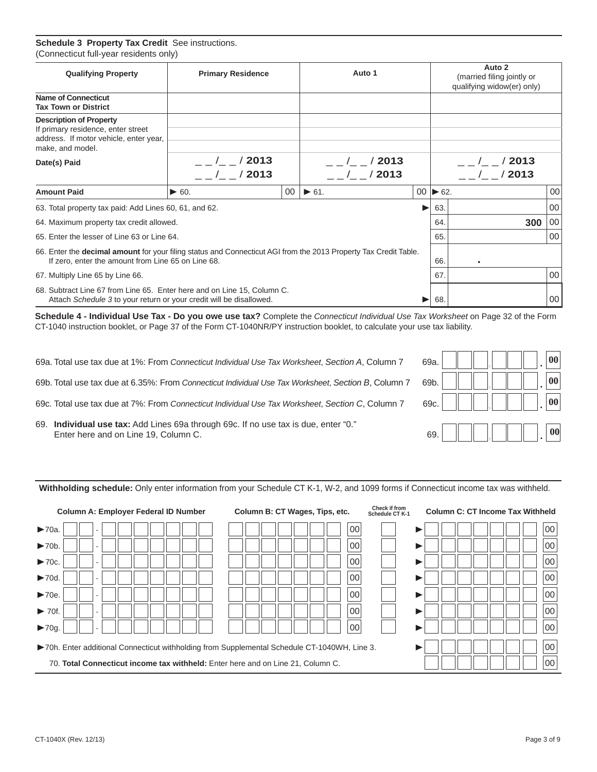#### **Schedule 3 Property Tax Credit** See instructions. (Connecticut full-year residents only)

| <b>Qualifying Property</b>                                                                                                                                                    | <b>Primary Residence</b>  |                 | Auto 1               |   |                              | Auto 2<br>(married filing jointly or<br>qualifying widow(er) only) |        |  |  |
|-------------------------------------------------------------------------------------------------------------------------------------------------------------------------------|---------------------------|-----------------|----------------------|---|------------------------------|--------------------------------------------------------------------|--------|--|--|
| <b>Name of Connecticut</b><br><b>Tax Town or District</b>                                                                                                                     |                           |                 |                      |   |                              |                                                                    |        |  |  |
| <b>Description of Property</b><br>If primary residence, enter street<br>address. If motor vehicle, enter year,<br>make, and model.                                            |                           |                 |                      |   |                              |                                                                    |        |  |  |
| Date(s) Paid                                                                                                                                                                  | $_{--}/_{--}/$ 2013       |                 | $\frac{1}{2013}$     |   |                              | $\frac{1}{2013}$                                                   |        |  |  |
|                                                                                                                                                                               | $  /$ $ /$ 2013           |                 | $/$ /2013            |   |                              | $_{\circ}$ $_{\circ}$ $_{\circ}$ $_{\circ}$ $_{\circ}$ $/$ 2013    |        |  |  |
| <b>Amount Paid</b>                                                                                                                                                            | $\blacktriangleright$ 60. | 00 <sup>°</sup> | $\triangleright$ 61. |   | $00 \blacktriangleright 62.$ |                                                                    | 00     |  |  |
| 63. Total property tax paid: Add Lines 60, 61, and 62.                                                                                                                        |                           |                 |                      | ▶ | 63.                          |                                                                    | 00     |  |  |
| 64. Maximum property tax credit allowed.                                                                                                                                      |                           |                 |                      |   | 64.                          | 300                                                                | 00     |  |  |
| 65. Enter the lesser of Line 63 or Line 64.                                                                                                                                   |                           |                 |                      |   | 65.                          |                                                                    | $00\,$ |  |  |
| 66. Enter the <b>decimal amount</b> for your filing status and Connecticut AGI from the 2013 Property Tax Credit Table.<br>If zero, enter the amount from Line 65 on Line 68. |                           |                 |                      |   | 66.                          |                                                                    |        |  |  |
| 67. Multiply Line 65 by Line 66.                                                                                                                                              |                           |                 |                      |   | 67.                          |                                                                    | 00     |  |  |
| 68. Subtract Line 67 from Line 65. Enter here and on Line 15, Column C.<br>Attach Schedule 3 to your return or your credit will be disallowed.                                |                           |                 |                      |   | 68.                          |                                                                    | 00     |  |  |

**Schedule 4 - Individual Use Tax - Do you owe use tax?** Complete the *Connecticut Individual Use Tax Worksheet* on Page 32 of the Form CT-1040 instruction booklet, or Page 37 of the Form CT-1040NR/PY instruction booklet, to calculate your use tax liability.

- 69a. Total use tax due at 1%: From *Connecticut Individual Use Tax Worksheet*, *Section A*, Column 7 6
- 69b. Total use tax due at 6.35%: From *Connecticut Individual Use Tax Worksheet*, *Section B*, Column 7 6
- 69c. Total use tax due at 7%: From *Connecticut Individual Use Tax Worksheet*, *Section C*, Column 7 6
- 69. **Individual use tax:** Add Lines 69a through 69c. If no use tax is due, enter "0." Enter here and on Line 19, Column C.

| 39a. |  |  |  | $ 00\rangle$     |
|------|--|--|--|------------------|
| 39b. |  |  |  | $ 00\rangle$     |
| 69c. |  |  |  | 00               |
| 69.  |  |  |  | $\vert 00 \vert$ |

**Withholding schedule:** Only enter information from your Schedule CT K-1, W-2, and 1099 forms if Connecticut income tax was withheld.

| <b>Column A: Employer Federal ID Number</b>                                           | Column B: CT Wages, Tips, etc.                                                                     | Check if from<br><b>Column C: CT Income Tax Withheld</b><br>Schedule CT K-1 |  |  |  |  |  |
|---------------------------------------------------------------------------------------|----------------------------------------------------------------------------------------------------|-----------------------------------------------------------------------------|--|--|--|--|--|
| $\blacktriangleright$ 70a.                                                            | 00                                                                                                 | 00                                                                          |  |  |  |  |  |
| $\blacktriangleright$ 70b.                                                            | 00                                                                                                 | 00                                                                          |  |  |  |  |  |
| $\blacktriangleright$ 70c.                                                            | 00                                                                                                 | 00                                                                          |  |  |  |  |  |
| $\blacktriangleright$ 70d.                                                            | 00                                                                                                 | 00                                                                          |  |  |  |  |  |
| $\blacktriangleright$ 70e.                                                            | 00                                                                                                 | 00                                                                          |  |  |  |  |  |
| $\triangleright$ 70f.                                                                 | 00                                                                                                 | 00                                                                          |  |  |  |  |  |
| $\blacktriangleright$ 70q.                                                            | 00                                                                                                 | 00                                                                          |  |  |  |  |  |
|                                                                                       | 00<br>▶70h. Enter additional Connecticut withholding from Supplemental Schedule CT-1040WH, Line 3. |                                                                             |  |  |  |  |  |
| 00<br>70. Total Connecticut income tax withheld: Enter here and on Line 21, Column C. |                                                                                                    |                                                                             |  |  |  |  |  |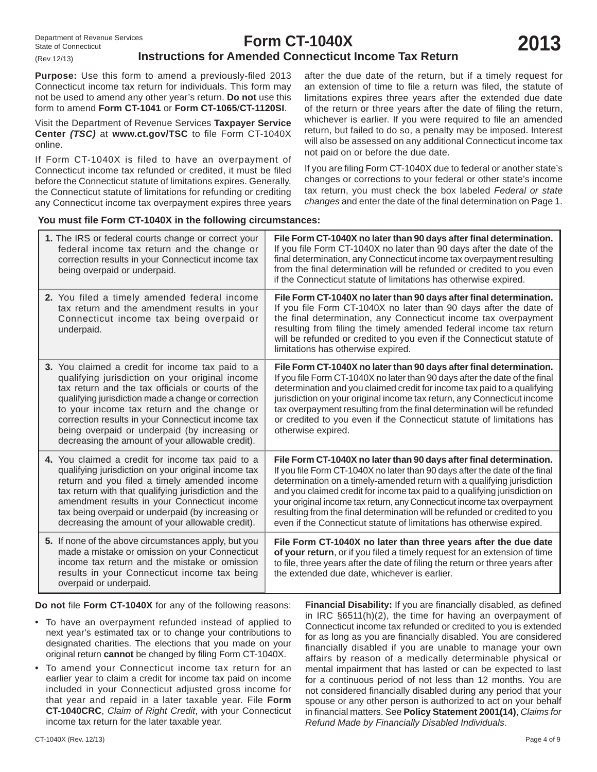### **Instructions for Amended Connecticut Income Tax Return**

Purpose: Use this form to amend a previously-filed 2013 Connecticut income tax return for individuals. This form may not be used to amend any other year's return. **Do not** use this form to amend **Form CT-1041** or **Form CT-1065**/**CT-1120SI**.

Visit the Department of Revenue Services **Taxpayer Service Center (TSC)** at www.ct.gov/TSC to file Form CT-1040X online.

If Form CT-1040X is filed to have an overpayment of Connecticut income tax refunded or credited, it must be filed before the Connecticut statute of limitations expires. Generally, the Connecticut statute of limitations for refunding or crediting any Connecticut income tax overpayment expires three years after the due date of the return, but if a timely request for an extension of time to file a return was filed, the statute of limitations expires three years after the extended due date of the return or three years after the date of filing the return, whichever is earlier. If you were required to file an amended return, but failed to do so, a penalty may be imposed. Interest will also be assessed on any additional Connecticut income tax not paid on or before the due date.

If you are filing Form CT-1040X due to federal or another state's changes or corrections to your federal or other state's income tax return, you must check the box labeled *Federal or state changes* and enter the date of the final determination on Page 1.

#### **You must fi le Form CT-1040X in the following circumstances:**

| 1. The IRS or federal courts change or correct your<br>federal income tax return and the change or<br>correction results in your Connecticut income tax<br>being overpaid or underpaid.                                                                                                                                                                                                                                  | File Form CT-1040X no later than 90 days after final determination.<br>If you file Form CT-1040X no later than 90 days after the date of the<br>final determination, any Connecticut income tax overpayment resulting<br>from the final determination will be refunded or credited to you even<br>if the Connecticut statute of limitations has otherwise expired.                                                                                                                                                                            |
|--------------------------------------------------------------------------------------------------------------------------------------------------------------------------------------------------------------------------------------------------------------------------------------------------------------------------------------------------------------------------------------------------------------------------|-----------------------------------------------------------------------------------------------------------------------------------------------------------------------------------------------------------------------------------------------------------------------------------------------------------------------------------------------------------------------------------------------------------------------------------------------------------------------------------------------------------------------------------------------|
| 2. You filed a timely amended federal income<br>tax return and the amendment results in your<br>Connecticut income tax being overpaid or<br>underpaid.                                                                                                                                                                                                                                                                   | File Form CT-1040X no later than 90 days after final determination.<br>If you file Form CT-1040X no later than 90 days after the date of<br>the final determination, any Connecticut income tax overpayment<br>resulting from filing the timely amended federal income tax return<br>will be refunded or credited to you even if the Connecticut statute of<br>limitations has otherwise expired.                                                                                                                                             |
| 3. You claimed a credit for income tax paid to a<br>qualifying jurisdiction on your original income<br>tax return and the tax officials or courts of the<br>qualifying jurisdiction made a change or correction<br>to your income tax return and the change or<br>correction results in your Connecticut income tax<br>being overpaid or underpaid (by increasing or<br>decreasing the amount of your allowable credit). | File Form CT-1040X no later than 90 days after final determination.<br>If you file Form CT-1040X no later than 90 days after the date of the final<br>determination and you claimed credit for income tax paid to a qualifying<br>jurisdiction on your original income tax return, any Connecticut income<br>tax overpayment resulting from the final determination will be refunded<br>or credited to you even if the Connecticut statute of limitations has<br>otherwise expired.                                                           |
| 4. You claimed a credit for income tax paid to a<br>qualifying jurisdiction on your original income tax<br>return and you filed a timely amended income<br>tax return with that qualifying jurisdiction and the<br>amendment results in your Connecticut income<br>tax being overpaid or underpaid (by increasing or<br>decreasing the amount of your allowable credit).                                                 | File Form CT-1040X no later than 90 days after final determination.<br>If you file Form CT-1040X no later than 90 days after the date of the final<br>determination on a timely-amended return with a qualifying jurisdiction<br>and you claimed credit for income tax paid to a qualifying jurisdiction on<br>your original income tax return, any Connecticut income tax overpayment<br>resulting from the final determination will be refunded or credited to you<br>even if the Connecticut statute of limitations has otherwise expired. |
| 5. If none of the above circumstances apply, but you<br>made a mistake or omission on your Connecticut<br>income tax return and the mistake or omission<br>results in your Connecticut income tax being<br>overpaid or underpaid.                                                                                                                                                                                        | File Form CT-1040X no later than three years after the due date<br>of your return, or if you filed a timely request for an extension of time<br>to file, three years after the date of filing the return or three years after<br>the extended due date, whichever is earlier.                                                                                                                                                                                                                                                                 |

**Do not file Form CT-1040X** for any of the following reasons:

- To have an overpayment refunded instead of applied to next year's estimated tax or to change your contributions to designated charities. The elections that you made on your original return **cannot** be changed by filing Form CT-1040X.
- To amend your Connecticut income tax return for an earlier year to claim a credit for income tax paid on income included in your Connecticut adjusted gross income for that year and repaid in a later taxable year. File **Form CT-1040CRC**, *Claim of Right Credit*, with your Connecticut income tax return for the later taxable year.

Financial Disability: If you are financially disabled, as defined in IRC §6511(h)(2), the time for having an overpayment of Connecticut income tax refunded or credited to you is extended for as long as you are financially disabled. You are considered financially disabled if you are unable to manage your own affairs by reason of a medically determinable physical or mental impairment that has lasted or can be expected to last for a continuous period of not less than 12 months. You are not considered financially disabled during any period that your spouse or any other person is authorized to act on your behalf in financial matters. See **Policy Statement 2001(14)**, *Claims for Refund Made by Financially Disabled Individuals*.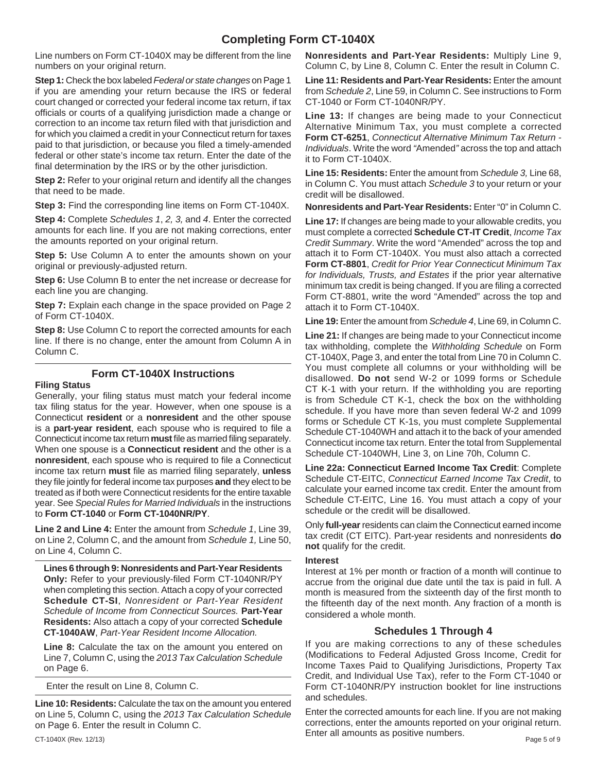### **Completing Form CT-1040X**

Line numbers on Form CT-1040X may be different from the line numbers on your original return.

**Step 1:** Check the box labeled *Federal or state changes* on Page 1 if you are amending your return because the IRS or federal court changed or corrected your federal income tax return, if tax officials or courts of a qualifying jurisdiction made a change or correction to an income tax return filed with that jurisdiction and for which you claimed a credit in your Connecticut return for taxes paid to that jurisdiction, or because you filed a timely-amended federal or other state's income tax return. Enter the date of the final determination by the IRS or by the other jurisdiction.

**Step 2:** Refer to your original return and identify all the changes that need to be made.

**Step 3:** Find the corresponding line items on Form CT-1040X.

**Step 4:** Complete *Schedules 1*, *2, 3,* and *4*. Enter the corrected amounts for each line. If you are not making corrections, enter the amounts reported on your original return.

**Step 5:** Use Column A to enter the amounts shown on your original or previously-adjusted return.

**Step 6:** Use Column B to enter the net increase or decrease for each line you are changing.

**Step 7:** Explain each change in the space provided on Page 2 of Form CT-1040X.

**Step 8:** Use Column C to report the corrected amounts for each line. If there is no change, enter the amount from Column A in Column C.

### **Form CT-1040X Instructions**

#### **Filing Status**

Generally, your filing status must match your federal income tax filing status for the year. However, when one spouse is a Connecticut **resident** or a **nonresident** and the other spouse is a **part-year resident**, each spouse who is required to file a Connecticut income tax return **must** file as married filing separately. When one spouse is a **Connecticut resident** and the other is a **nonresident**, each spouse who is required to file a Connecticut income tax return **must** file as married filing separately, **unless** they file jointly for federal income tax purposes and they elect to be treated as if both were Connecticut residents for the entire taxable year. See *Special Rules for Married Individuals* in the instructions to **Form CT-1040** or **Form CT-1040NR/PY**.

**Line 2 and Line 4:** Enter the amount from *Schedule 1*, Line 39, on Line 2, Column C, and the amount from *Schedule 1,* Line 50, on Line 4, Column C.

**Lines 6 through 9: Nonresidents and Part-Year Residents**  Only: Refer to your previously-filed Form CT-1040NR/PY when completing this section. Attach a copy of your corrected **Schedule CT-SI**, *Nonresident or Part-Year Resident Schedule of Income from Connecticut Sources.* **Part-Year Residents:** Also attach a copy of your corrected **Schedule CT-1040AW**, *Part-Year Resident Income Allocation.*

**Line 8:** Calculate the tax on the amount you entered on Line 7, Column C, using the *2013 Tax Calculation Schedule*  on Page 6.

Enter the result on Line 8, Column C.

**Line 10: Residents:** Calculate the tax on the amount you entered on Line 5, Column C, using the *2013 Tax Calculation Schedule* on Page 6. Enter the result in Column C.

**Nonresidents and Part-Year Residents:** Multiply Line 9, Column C, by Line 8, Column C. Enter the result in Column C.

**Line 11: Residents and Part-Year Residents:** Enter the amount from *Schedule 2*, Line 59, in Column C. See instructions to Form CT-1040 or Form CT-1040NR/PY.

**Line 13:** If changes are being made to your Connecticut Alternative Minimum Tax, you must complete a corrected **Form CT-6251**, *Connecticut Alternative Minimum Tax Return - Individuals*. Write the word *"*Amended*"* across the top and attach it to Form CT-1040X.

**Line 15: Residents:** Enter the amount from *Schedule 3,* Line 68, in Column C. You must attach *Schedule 3* to your return or your credit will be disallowed.

**Nonresidents and Part-Year Residents:** Enter "0" in Column C.

**Line 17:** If changes are being made to your allowable credits, you must complete a corrected **Schedule CT-IT Credit**, *Income Tax Credit Summary*. Write the word "Amended" across the top and attach it to Form CT-1040X. You must also attach a corrected **Form CT-8801**, *Credit for Prior Year Connecticut Minimum Tax for Individuals, Trusts, and Estates* if the prior year alternative minimum tax credit is being changed. If you are filing a corrected Form CT-8801, write the word "Amended" across the top and attach it to Form CT-1040X.

**Line 19:** Enter the amount from *Schedule 4*, Line 69, in Column C.

**Line 21:** If changes are being made to your Connecticut income tax withholding, complete the *Withholding Schedule* on Form CT-1040X, Page 3, and enter the total from Line 70 in Column C. You must complete all columns or your withholding will be disallowed. **Do not** send W-2 or 1099 forms or Schedule CT K-1 with your return. If the withholding you are reporting is from Schedule CT K-1, check the box on the withholding schedule. If you have more than seven federal W-2 and 1099 forms or Schedule CT K-1s, you must complete Supplemental Schedule CT-1040WH and attach it to the back of your amended Connecticut income tax return. Enter the total from Supplemental Schedule CT-1040WH, Line 3, on Line 70h, Column C.

**Line 22a: Connecticut Earned Income Tax Credit**: Complete Schedule CT-EITC, *Connecticut Earned Income Tax Credit*, to calculate your earned income tax credit. Enter the amount from Schedule CT-EITC, Line 16. You must attach a copy of your schedule or the credit will be disallowed.

Only **full-year** residents can claim the Connecticut earned income tax credit (CT EITC). Part-year residents and nonresidents **do not** qualify for the credit.

#### **Interest**

Interest at 1% per month or fraction of a month will continue to accrue from the original due date until the tax is paid in full. A month is measured from the sixteenth day of the first month to the fifteenth day of the next month. Any fraction of a month is considered a whole month.

### **Schedules 1 Through 4**

If you are making corrections to any of these schedules (Modifications to Federal Adjusted Gross Income, Credit for Income Taxes Paid to Qualifying Jurisdictions, Property Tax Credit, and Individual Use Tax), refer to the Form CT-1040 or Form CT-1040NR/PY instruction booklet for line instructions and schedules.

CT-1040X (Rev. 12/13) Page 5 of 9 Enter the corrected amounts for each line. If you are not making corrections, enter the amounts reported on your original return. Enter all amounts as positive numbers.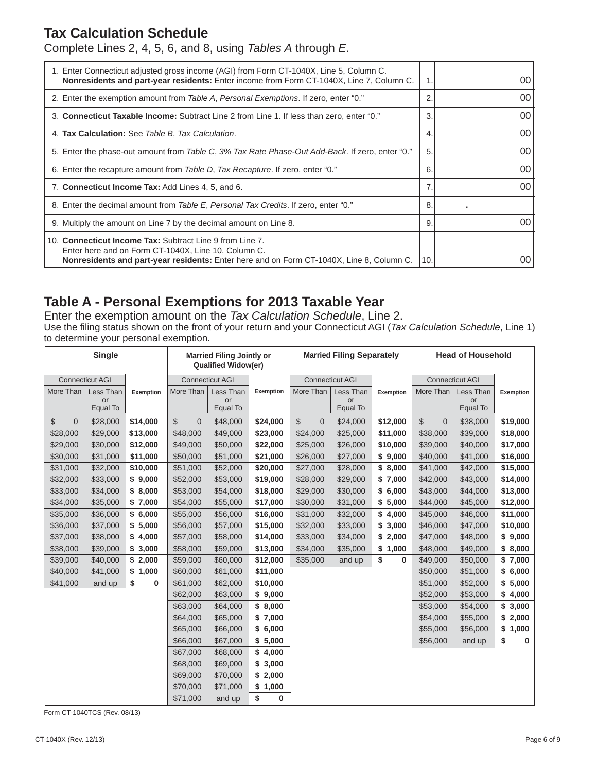### **Tax Calculation Schedule**

Complete Lines 2, 4, 5, 6, and 8, using *Tables A* through *E*.

| 1. Enter Connecticut adjusted gross income (AGI) from Form CT-1040X, Line 5, Column C.<br>Nonresidents and part-year residents: Enter income from Form CT-1040X, Line 7, Column C.                          |                | 00 |
|-------------------------------------------------------------------------------------------------------------------------------------------------------------------------------------------------------------|----------------|----|
| 2. Enter the exemption amount from Table A, Personal Exemptions. If zero, enter "0."                                                                                                                        | 2              | 00 |
| 3. Connecticut Taxable Income: Subtract Line 2 from Line 1. If less than zero, enter "0."                                                                                                                   | 3              | 00 |
| 4. Tax Calculation: See Table B, Tax Calculation.                                                                                                                                                           | $\overline{4}$ | 00 |
| 5. Enter the phase-out amount from Table C, 3% Tax Rate Phase-Out Add-Back. If zero, enter "0."                                                                                                             | 5.             | 00 |
| 6. Enter the recapture amount from Table D, Tax Recapture. If zero, enter "0."                                                                                                                              | 6              | 00 |
| 7. Connecticut Income Tax: Add Lines 4, 5, and 6.                                                                                                                                                           | 7.             | 00 |
| 8. Enter the decimal amount from Table E, Personal Tax Credits. If zero, enter "0."                                                                                                                         | 8              |    |
| 9. Multiply the amount on Line 7 by the decimal amount on Line 8.                                                                                                                                           | 9              | 00 |
| 10. Connecticut Income Tax: Subtract Line 9 from Line 7.<br>Enter here and on Form CT-1040X, Line 10, Column C.<br>Nonresidents and part-year residents: Enter here and on Form CT-1040X, Line 8, Column C. | 10.            | 00 |

### **Table A - Personal Exemptions for 2013 Taxable Year**

Enter the exemption amount on the *Tax Calculation Schedule*, Line 2. Use the filing status shown on the front of your return and your Connecticut AGI (*Tax Calculation Schedule*, Line 1) to determine your personal exemption.

| <b>Single</b>          |                             |           |                             | <b>Married Filing Jointly or</b><br><b>Qualified Widow(er)</b> |           |                             | <b>Married Filing Separately</b> |           |                               | <b>Head of Household</b>    |             |
|------------------------|-----------------------------|-----------|-----------------------------|----------------------------------------------------------------|-----------|-----------------------------|----------------------------------|-----------|-------------------------------|-----------------------------|-------------|
| <b>Connecticut AGI</b> |                             |           |                             | <b>Connecticut AGI</b>                                         |           |                             | <b>Connecticut AGI</b>           |           | <b>Connecticut AGI</b>        |                             |             |
| More Than              | Less Than<br>or<br>Equal To | Exemption | More Than                   | Less Than<br>or<br>Equal To                                    | Exemption | More Than                   | Less Than<br>or<br>Equal To      | Exemption | More Than                     | Less Than<br>or<br>Equal To | Exemption   |
| \$<br>$\mathbf 0$      | \$28,000                    | \$14,000  | $\mathbb{S}$<br>$\mathbf 0$ | \$48,000                                                       | \$24,000  | $\mathbb{S}$<br>$\mathbf 0$ | \$24,000                         | \$12,000  | $\mathfrak{S}$<br>$\mathbf 0$ | \$38,000                    | \$19,000    |
| \$28,000               | \$29,000                    | \$13,000  | \$48,000                    | \$49,000                                                       | \$23,000  | \$24,000                    | \$25,000                         | \$11,000  | \$38,000                      | \$39,000                    | \$18,000    |
| \$29,000               | \$30,000                    | \$12,000  | \$49,000                    | \$50,000                                                       | \$22,000  | \$25,000                    | \$26,000                         | \$10,000  | \$39,000                      | \$40,000                    | \$17,000    |
| \$30,000               | \$31,000                    | \$11,000  | \$50,000                    | \$51,000                                                       | \$21,000  | \$26,000                    | \$27,000                         | \$9,000   | \$40,000                      | \$41,000                    | \$16,000    |
| \$31,000               | \$32,000                    | \$10,000  | \$51,000                    | \$52,000                                                       | \$20,000  | \$27,000                    | \$28,000                         | \$8,000   | \$41,000                      | \$42,000                    | \$15,000    |
| \$32,000               | \$33,000                    | \$9,000   | \$52,000                    | \$53,000                                                       | \$19,000  | \$28,000                    | \$29,000                         | \$7,000   | \$42,000                      | \$43,000                    | \$14,000    |
| \$33,000               | \$34,000                    | \$8,000   | \$53,000                    | \$54,000                                                       | \$18,000  | \$29,000                    | \$30,000                         | \$6,000   | \$43,000                      | \$44,000                    | \$13,000    |
| \$34,000               | \$35,000                    | \$7,000   | \$54,000                    | \$55,000                                                       | \$17,000  | \$30,000                    | \$31,000                         | \$5,000   | \$44,000                      | \$45,000                    | \$12,000    |
| \$35,000               | \$36,000                    | \$6,000   | \$55,000                    | \$56,000                                                       | \$16,000  | \$31,000                    | \$32,000                         | \$4,000   | \$45,000                      | \$46,000                    | \$11,000    |
| \$36,000               | \$37,000                    | \$5,000   | \$56,000                    | \$57,000                                                       | \$15,000  | \$32,000                    | \$33,000                         | \$3,000   | \$46,000                      | \$47,000                    | \$10,000    |
| \$37,000               | \$38,000                    | \$4,000   | \$57,000                    | \$58,000                                                       | \$14,000  | \$33,000                    | \$34,000                         | \$2,000   | \$47,000                      | \$48,000                    | \$9,000     |
| \$38,000               | \$39,000                    | \$3,000   | \$58,000                    | \$59,000                                                       | \$13,000  | \$34,000                    | \$35,000                         | \$1,000   | \$48,000                      | \$49,000                    | \$8,000     |
| \$39,000               | \$40,000                    | \$2,000   | \$59,000                    | \$60,000                                                       | \$12,000  | \$35,000                    | and up                           | \$<br>0   | \$49,000                      | \$50,000                    | \$7,000     |
| \$40,000               | \$41,000                    | \$1,000   | \$60,000                    | \$61,000                                                       | \$11,000  |                             |                                  |           | \$50,000                      | \$51,000                    | \$6,000     |
| \$41,000               | and up                      | \$<br>0   | \$61,000                    | \$62,000                                                       | \$10,000  |                             |                                  |           | \$51,000                      | \$52,000                    | \$5,000     |
|                        |                             |           | \$62,000                    | \$63,000                                                       | \$9,000   |                             |                                  |           | \$52,000                      | \$53,000                    | \$4,000     |
|                        |                             |           | \$63,000                    | \$64,000                                                       | \$8,000   |                             |                                  |           | \$53,000                      | \$54,000                    | \$3,000     |
|                        |                             |           | \$64,000                    | \$65,000                                                       | \$7,000   |                             |                                  |           | \$54,000                      | \$55,000                    | \$2,000     |
|                        |                             |           | \$65,000                    | \$66,000                                                       | \$6,000   |                             |                                  |           | \$55,000                      | \$56,000                    | \$<br>1,000 |
|                        |                             |           | \$66,000                    | \$67,000                                                       | \$5,000   |                             |                                  |           | \$56,000                      | and up                      | \$<br>0     |
|                        |                             |           | \$67,000                    | \$68,000                                                       | \$4,000   |                             |                                  |           |                               |                             |             |
|                        |                             |           | \$68,000                    | \$69,000                                                       | \$3,000   |                             |                                  |           |                               |                             |             |
|                        |                             |           | \$69,000                    | \$70,000                                                       | \$2,000   |                             |                                  |           |                               |                             |             |
|                        |                             |           | \$70,000                    | \$71,000                                                       | \$1,000   |                             |                                  |           |                               |                             |             |
|                        |                             |           | \$71,000                    | and up                                                         | \$<br>0   |                             |                                  |           |                               |                             |             |

Form CT-1040TCS (Rev. 08/13)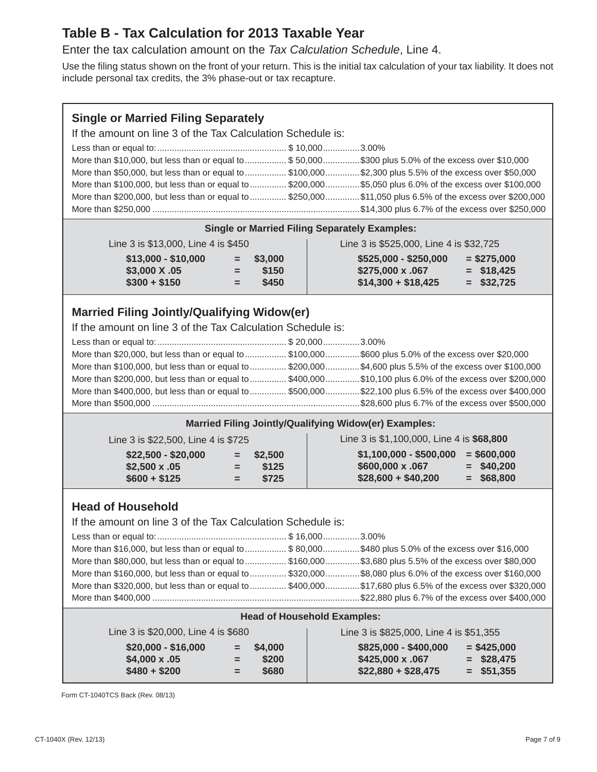### **Table B - Tax Calculation for 2013 Taxable Year**

Enter the tax calculation amount on the *Tax Calculation Schedule*, Line 4.

Use the filing status shown on the front of your return. This is the initial tax calculation of your tax liability. It does not include personal tax credits, the 3% phase-out or tax recapture.

If the amount on line 3 of the Tax Calculation Schedule is:

| More than \$10,000, but less than or equal to  \$50,000\$300 plus 5.0% of the excess over \$10,000        |  |
|-----------------------------------------------------------------------------------------------------------|--|
| More than \$50,000, but less than or equal to  \$100,000 \$2,300 plus 5.5% of the excess over \$50,000    |  |
| More than \$100,000, but less than or equal to  \$200,000  \$5,050 plus 6.0% of the excess over \$100,000 |  |
| More than \$200,000, but less than or equal to  \$250,000 \$11,050 plus 6.5% of the excess over \$200,000 |  |
|                                                                                                           |  |

|  |  | <b>Single or Married Filing Separately Examples:</b> |
|--|--|------------------------------------------------------|

| Line 3 is \$13,000, Line 4 is \$450 |  |
|-------------------------------------|--|
|-------------------------------------|--|

| Line 3 is \$13,000, Line 4 is \$450  |     |                      | Line 3 is \$525,000, Line 4 is \$32,725   |                               |  |  |  |
|--------------------------------------|-----|----------------------|-------------------------------------------|-------------------------------|--|--|--|
| $$13,000 - $10,000$<br>\$3,000 X .05 | $=$ | $=$ \$3,000<br>\$150 | $$525,000 - $250,000$<br>\$275,000 x .067 | $=$ \$275,000<br>$=$ \$18.425 |  |  |  |
| $$300 + $150$                        | ъ.  | \$450                | $$14,300 + $18,425$                       | $=$ \$32,725                  |  |  |  |

### **Married Filing Jointly/Qualifying Widow(er)**

If the amount on line 3 of the Tax Calculation Schedule is:

| More than \$20,000, but less than or equal to \$100,000\$600 plus 5.0% of the excess over \$20,000        |  |
|-----------------------------------------------------------------------------------------------------------|--|
| More than \$100,000, but less than or equal to  \$200,000  \$4,600 plus 5.5% of the excess over \$100,000 |  |
| More than \$200,000, but less than or equal to  \$400,000 \$10,100 plus 6.0% of the excess over \$200,000 |  |
| More than \$400,000, but less than or equal to \$500,000 \$22,100 plus 6.5% of the excess over \$400,000  |  |
|                                                                                                           |  |

### **Married Filing Jointly/Qualifying Widow(er) Examples:**

| Line 3 is \$22,500, Line 4 is \$725                         |                                             | Line 3 is \$1,100,000, Line 4 is \$68,800                                                                           |  |  |  |  |
|-------------------------------------------------------------|---------------------------------------------|---------------------------------------------------------------------------------------------------------------------|--|--|--|--|
| $$22,500 - $20,000$<br>$$2,500 \times .05$<br>$$600 + $125$ | $=$ \$2,500<br>\$125<br>$=$<br>\$725<br>$=$ | $$1,100,000 - $500,000$<br>$=$ \$600,000<br>\$600,000 x .067<br>$=$ \$40,200<br>$$28,600 + $40,200$<br>$=$ \$68,800 |  |  |  |  |

### **Head of Household**

If the amount on line 3 of the Tax Calculation Schedule is:

| More than \$16,000, but less than or equal to  \$80,000\$480 plus 5.0% of the excess over \$16,000        |
|-----------------------------------------------------------------------------------------------------------|
| More than \$80,000, but less than or equal to  \$160,000 \$3,680 plus 5.5% of the excess over \$80,000    |
| More than \$160,000, but less than or equal to  \$320,000  \$8,080 plus 6.0% of the excess over \$160,000 |
| More than \$320,000, but less than or equal to  \$400,000 \$17,680 plus 6.5% of the excess over \$320,000 |
|                                                                                                           |
|                                                                                                           |

#### **Head of Household Examples:**

| Line 3 is \$20,000, Line 4 is \$680                         |                           |                | Line 3 is \$825,000, Line 4 is \$51,355                          |                                               |  |  |  |
|-------------------------------------------------------------|---------------------------|----------------|------------------------------------------------------------------|-----------------------------------------------|--|--|--|
| $$20,000 - $16,000$<br>$$4,000 \times .05$<br>$$480 + $200$ | $=$ \$4,000<br>$=$<br>$=$ | \$200<br>\$680 | \$825,000 - \$400,000<br>\$425,000 x .067<br>$$22,880 + $28,475$ | $=$ \$425,000<br>$=$ \$28,475<br>$=$ \$51,355 |  |  |  |

Form CT-1040TCS Back (Rev. 08/13)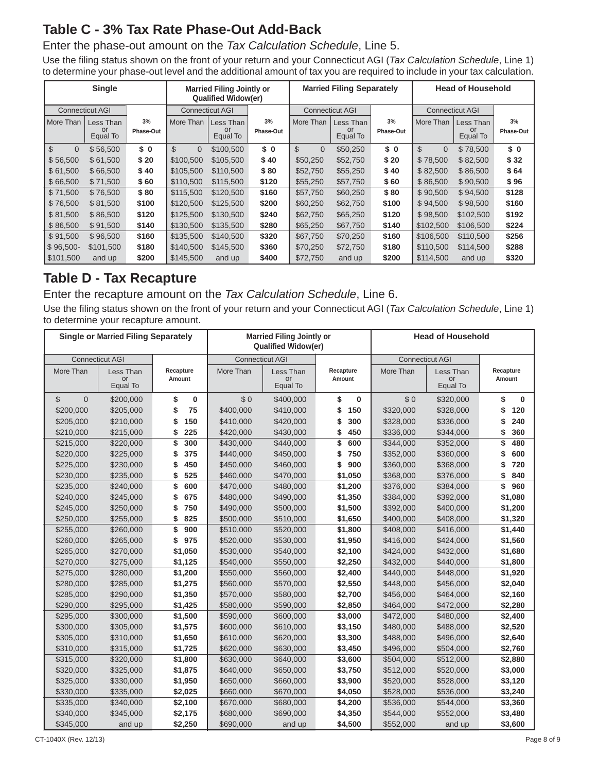## **Table C - 3% Tax Rate Phase-Out Add-Back**

### Enter the phase-out amount on the *Tax Calculation Schedule*, Line 5.

Use the filing status shown on the front of your return and your Connecticut AGI (*Tax Calculation Schedule*, Line 1) to determine your phase-out level and the additional amount of tax you are required to include in your tax calculation.

| <b>Single</b>            |                        |           |                          | <b>Married Filing Jointly or</b><br><b>Qualified Widow(er)</b> |           |                            | <b>Married Filing Separately</b> |           | <b>Head of Household</b>   |                        |           |
|--------------------------|------------------------|-----------|--------------------------|----------------------------------------------------------------|-----------|----------------------------|----------------------------------|-----------|----------------------------|------------------------|-----------|
|                          | <b>Connecticut AGI</b> |           | <b>Connecticut AGI</b>   |                                                                |           | <b>Connecticut AGI</b>     |                                  |           |                            | <b>Connecticut AGI</b> |           |
| More Than                | Less Than              | 3%        | More Than                | Less Than                                                      | 3%        | More Than                  | Less Than                        | 3%        | More Than                  | Less Than              | 3%        |
|                          | or<br>Equal To         | Phase-Out |                          | or<br>Equal To                                                 | Phase-Out |                            | or<br>Equal To                   | Phase-Out |                            | or<br>Equal To         | Phase-Out |
| $\mathbb{S}$<br>$\Omega$ | \$56,500               | \$0       | $\mathbb{S}$<br>$\Omega$ | \$100,500                                                      | \$ 0      | $\mathfrak{L}$<br>$\Omega$ | \$50,250                         | \$0       | $\mathfrak{L}$<br>$\Omega$ | \$78,500               | \$0       |
| \$56,500                 | \$61,500               | \$20      | \$100.500                | \$105,500                                                      | \$40      | \$50,250                   | \$52,750                         | \$20      | \$78,500                   | \$82,500               | \$32      |
| \$61.500                 | \$66,500               | \$40      | \$105.500                | \$110,500                                                      | \$80      | \$52,750                   | \$55,250                         | \$40      | \$82,500                   | \$86,500               | \$64      |
| \$66,500                 | \$71,500               | \$60      | \$110,500                | \$115,500                                                      | \$120     | \$55,250                   | \$57,750                         | \$60      | \$86,500                   | \$90,500               | \$96      |
| \$71,500                 | \$76,500               | \$80      | \$115,500                | \$120,500                                                      | \$160     | \$57,750                   | \$60,250                         | \$80      | \$90,500                   | \$94,500               | \$128     |
| \$76,500                 | \$81,500               | \$100     | \$120,500                | \$125,500                                                      | \$200     | \$60,250                   | \$62,750                         | \$100     | \$94.500                   | \$98,500               | \$160     |
| \$81,500                 | \$86,500               | \$120     | \$125,500                | \$130,500                                                      | \$240     | \$62,750                   | \$65,250                         | \$120     | \$98,500                   | \$102,500              | \$192     |
| \$86,500                 | \$91,500               | \$140     | \$130,500                | \$135,500                                                      | \$280     | \$65,250                   | \$67,750                         | \$140     | \$102,500                  | \$106,500              | \$224     |
| \$91,500                 | \$96,500               | \$160     | \$135,500                | \$140,500                                                      | \$320     | \$67,750                   | \$70,250                         | \$160     | \$106,500                  | \$110,500              | \$256     |
| $$96,500-$               | \$101,500              | \$180     | \$140,500                | \$145,500                                                      | \$360     | \$70,250                   | \$72,750                         | \$180     | \$110,500                  | \$114,500              | \$288     |
| \$101,500                | and up                 | \$200     | \$145,500                | and up                                                         | \$400     | \$72,750                   | and up                           | \$200     | \$114,500                  | and up                 | \$320     |

### **Table D - Tax Recapture**

Enter the recapture amount on the *Tax Calculation Schedule*, Line 6.

Use the filing status shown on the front of your return and your Connecticut AGI (*Tax Calculation Schedule*, Line 1) to determine your recapture amount.

|                                 | <b>Single or Married Filing Separately</b> |                |           | <b>Married Filing Jointly or</b><br><b>Qualified Widow(er)</b> |           | <b>Head of Household</b> |                        |                |
|---------------------------------|--------------------------------------------|----------------|-----------|----------------------------------------------------------------|-----------|--------------------------|------------------------|----------------|
|                                 | <b>Connecticut AGI</b>                     |                |           | <b>Connecticut AGI</b>                                         |           |                          | <b>Connecticut AGI</b> |                |
| More Than                       | Less Than                                  | Recapture      | More Than | Less Than                                                      | Recapture | More Than                | Less Than              | Recapture      |
|                                 | or<br>Equal To                             | Amount         |           | or<br>Equal To                                                 | Amount    |                          | or<br>Equal To         | Amount         |
| $\mathcal{L}$<br>$\overline{0}$ | \$200,000                                  | \$<br>$\bf{0}$ | \$0       | \$400,000                                                      | \$<br>0   | \$0                      | \$320,000              | \$<br>$\bf{0}$ |
| \$200,000                       | \$205,000                                  | 75<br>\$       | \$400,000 | \$410,000                                                      | \$<br>150 | \$320,000                | \$328,000              | 120<br>\$      |
| \$205,000                       | \$210,000                                  | 150<br>\$      | \$410,000 | \$420,000                                                      | 300<br>\$ | \$328,000                | \$336,000              | \$<br>240      |
| \$210,000                       | \$215,000                                  | 225<br>\$      | \$420,000 | \$430,000                                                      | 450<br>\$ | \$336,000                | \$344,000              | \$<br>360      |
| \$215,000                       | \$220,000                                  | 300<br>\$      | \$430,000 | \$440,000                                                      | \$<br>600 | \$344,000                | \$352,000              | \$<br>480      |
| \$220,000                       | \$225,000                                  | 375<br>\$      | \$440,000 | \$450,000                                                      | 750<br>\$ | \$352,000                | \$360,000              | 600<br>\$      |
| \$225,000                       | \$230,000                                  | 450<br>\$      | \$450,000 | \$460,000                                                      | 900<br>\$ | \$360,000                | \$368,000              | 720<br>\$      |
| \$230,000                       | \$235,000                                  | 525<br>\$      | \$460,000 | \$470,000                                                      | \$1,050   | \$368,000                | \$376,000              | 840<br>\$      |
| \$235,000                       | \$240,000                                  | \$<br>600      | \$470,000 | \$480,000                                                      | \$1,200   | \$376,000                | \$384,000              | \$<br>960      |
| \$240,000                       | \$245,000                                  | 675<br>S       | \$480,000 | \$490,000                                                      | \$1,350   | \$384,000                | \$392,000              | \$1,080        |
| \$245,000                       | \$250,000                                  | 750<br>\$      | \$490,000 | \$500,000                                                      | \$1,500   | \$392,000                | \$400,000              | \$1,200        |
| \$250,000                       | \$255,000                                  | 825<br>\$      | \$500,000 | \$510,000                                                      | \$1,650   | \$400,000                | \$408,000              | \$1,320        |
| \$255,000                       | \$260,000                                  | 900<br>\$      | \$510,000 | \$520,000                                                      | \$1,800   | \$408,000                | \$416,000              | \$1,440        |
| \$260,000                       | \$265,000                                  | \$<br>975      | \$520,000 | \$530,000                                                      | \$1,950   | \$416,000                | \$424,000              | \$1,560        |
| \$265,000                       | \$270,000                                  | \$1,050        | \$530,000 | \$540,000                                                      | \$2,100   | \$424,000                | \$432,000              | \$1,680        |
| \$270,000                       | \$275,000                                  | \$1,125        | \$540,000 | \$550,000                                                      | \$2,250   | \$432,000                | \$440,000              | \$1,800        |
| \$275,000                       | \$280,000                                  | \$1,200        | \$550,000 | \$560,000                                                      | \$2,400   | \$440,000                | \$448,000              | \$1,920        |
| \$280,000                       | \$285,000                                  | \$1,275        | \$560,000 | \$570,000                                                      | \$2,550   | \$448,000                | \$456,000              | \$2,040        |
| \$285,000                       | \$290,000                                  | \$1,350        | \$570,000 | \$580,000                                                      | \$2,700   | \$456,000                | \$464,000              | \$2,160        |
| \$290,000                       | \$295,000                                  | \$1,425        | \$580,000 | \$590,000                                                      | \$2,850   | \$464,000                | \$472,000              | \$2,280        |
| \$295,000                       | \$300,000                                  | \$1,500        | \$590,000 | \$600,000                                                      | \$3,000   | \$472,000                | \$480,000              | \$2,400        |
| \$300,000                       | \$305,000                                  | \$1,575        | \$600,000 | \$610,000                                                      | \$3,150   | \$480,000                | \$488,000              | \$2,520        |
| \$305,000                       | \$310,000                                  | \$1,650        | \$610,000 | \$620,000                                                      | \$3,300   | \$488,000                | \$496,000              | \$2,640        |
| \$310,000                       | \$315,000                                  | \$1,725        | \$620,000 | \$630,000                                                      | \$3,450   | \$496,000                | \$504,000              | \$2,760        |
| \$315,000                       | \$320,000                                  | \$1,800        | \$630,000 | \$640,000                                                      | \$3,600   | \$504,000                | \$512,000              | \$2,880        |
| \$320,000                       | \$325,000                                  | \$1,875        | \$640,000 | \$650,000                                                      | \$3,750   | \$512,000                | \$520,000              | \$3,000        |
| \$325,000                       | \$330,000                                  | \$1,950        | \$650,000 | \$660,000                                                      | \$3,900   | \$520,000                | \$528,000              | \$3,120        |
| \$330,000                       | \$335,000                                  | \$2,025        | \$660,000 | \$670,000                                                      | \$4,050   | \$528,000                | \$536,000              | \$3,240        |
| \$335,000                       | \$340,000                                  | \$2,100        | \$670,000 | \$680,000                                                      | \$4,200   | \$536,000                | \$544,000              | \$3,360        |
| \$340,000                       | \$345,000                                  | \$2,175        | \$680,000 | \$690,000                                                      | \$4,350   | \$544,000                | \$552,000              | \$3,480        |
| \$345,000                       | and up                                     | \$2,250        | \$690,000 | and up                                                         | \$4,500   | \$552,000                | and up                 | \$3,600        |